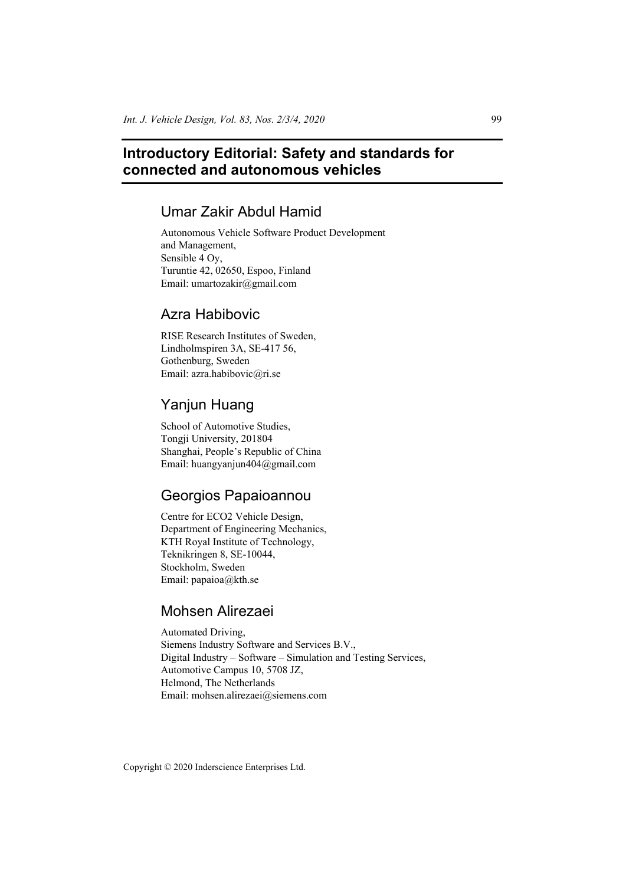# **Introductory Editorial: Safety and standards for connected and autonomous vehicles**

# Umar Zakir Abdul Hamid

Autonomous Vehicle Software Product Development and Management, Sensible 4 Oy, Turuntie 42, 02650, Espoo, Finland Email: umartozakir@gmail.com

## Azra Habibovic

RISE Research Institutes of Sweden, Lindholmspiren 3A, SE-417 56, Gothenburg, Sweden Email: azra.habibovic@ri.se

## Yanjun Huang

School of Automotive Studies, Tongji University, 201804 Shanghai, People's Republic of China Email: huangyanjun404@gmail.com

## Georgios Papaioannou

Centre for ECO2 Vehicle Design, Department of Engineering Mechanics, KTH Royal Institute of Technology, Teknikringen 8, SE-10044, Stockholm, Sweden Email: papaioa@kth.se

# Mohsen Alirezaei

Automated Driving, Siemens Industry Software and Services B.V., Digital Industry – Software – Simulation and Testing Services, Automotive Campus 10, 5708 JZ, Helmond, The Netherlands Email: mohsen.alirezaei@siemens.com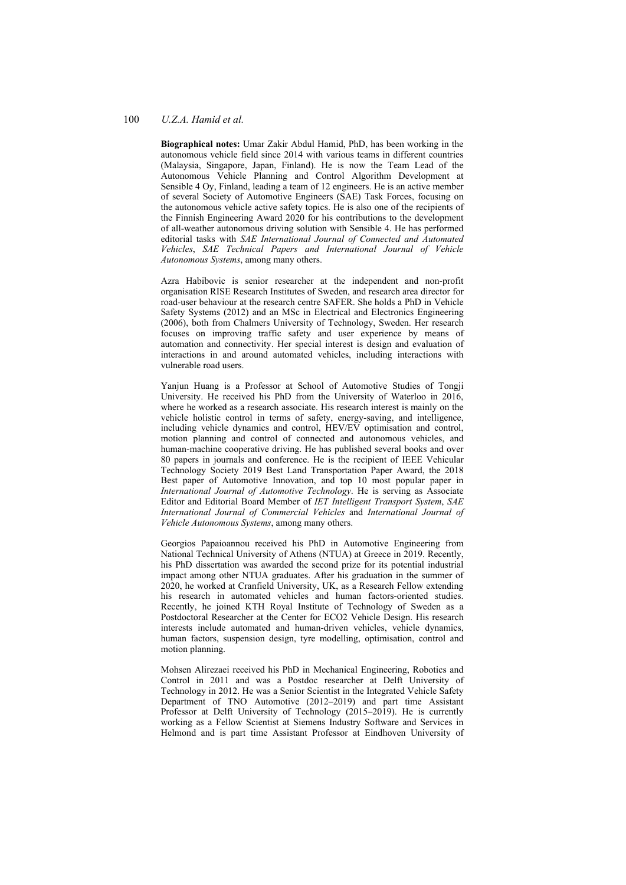#### 100 *U.Z.A. Hamid et al.*

**Biographical notes:** Umar Zakir Abdul Hamid, PhD, has been working in the autonomous vehicle field since 2014 with various teams in different countries (Malaysia, Singapore, Japan, Finland). He is now the Team Lead of the Autonomous Vehicle Planning and Control Algorithm Development at Sensible 4 Oy, Finland, leading a team of 12 engineers. He is an active member of several Society of Automotive Engineers (SAE) Task Forces, focusing on the autonomous vehicle active safety topics. He is also one of the recipients of the Finnish Engineering Award 2020 for his contributions to the development of all-weather autonomous driving solution with Sensible 4. He has performed editorial tasks with *SAE International Journal of Connected and Automated Vehicles*, *SAE Technical Papers and International Journal of Vehicle Autonomous Systems*, among many others.

Azra Habibovic is senior researcher at the independent and non-profit organisation RISE Research Institutes of Sweden, and research area director for road-user behaviour at the research centre SAFER. She holds a PhD in Vehicle Safety Systems (2012) and an MSc in Electrical and Electronics Engineering (2006), both from Chalmers University of Technology, Sweden. Her research focuses on improving traffic safety and user experience by means of automation and connectivity. Her special interest is design and evaluation of interactions in and around automated vehicles, including interactions with vulnerable road users.

Yanjun Huang is a Professor at School of Automotive Studies of Tongji University. He received his PhD from the University of Waterloo in 2016, where he worked as a research associate. His research interest is mainly on the vehicle holistic control in terms of safety, energy-saving, and intelligence, including vehicle dynamics and control, HEV/EV optimisation and control, motion planning and control of connected and autonomous vehicles, and human-machine cooperative driving. He has published several books and over 80 papers in journals and conference. He is the recipient of IEEE Vehicular Technology Society 2019 Best Land Transportation Paper Award, the 2018 Best paper of Automotive Innovation, and top 10 most popular paper in *International Journal of Automotive Technology*. He is serving as Associate Editor and Editorial Board Member of *IET Intelligent Transport System*, *SAE International Journal of Commercial Vehicles* and *International Journal of Vehicle Autonomous Systems*, among many others.

Georgios Papaioannou received his PhD in Automotive Engineering from National Technical University of Athens (NTUA) at Greece in 2019. Recently, his PhD dissertation was awarded the second prize for its potential industrial impact among other NTUA graduates. After his graduation in the summer of 2020, he worked at Cranfield University, UK, as a Research Fellow extending his research in automated vehicles and human factors-oriented studies. Recently, he joined KTH Royal Institute of Technology of Sweden as a Postdoctoral Researcher at the Center for ECO2 Vehicle Design. His research interests include automated and human-driven vehicles, vehicle dynamics, human factors, suspension design, tyre modelling, optimisation, control and motion planning.

Mohsen Alirezaei received his PhD in Mechanical Engineering, Robotics and Control in 2011 and was a Postdoc researcher at Delft University of Technology in 2012. He was a Senior Scientist in the Integrated Vehicle Safety Department of TNO Automotive (2012–2019) and part time Assistant Professor at Delft University of Technology (2015–2019). He is currently working as a Fellow Scientist at Siemens Industry Software and Services in Helmond and is part time Assistant Professor at Eindhoven University of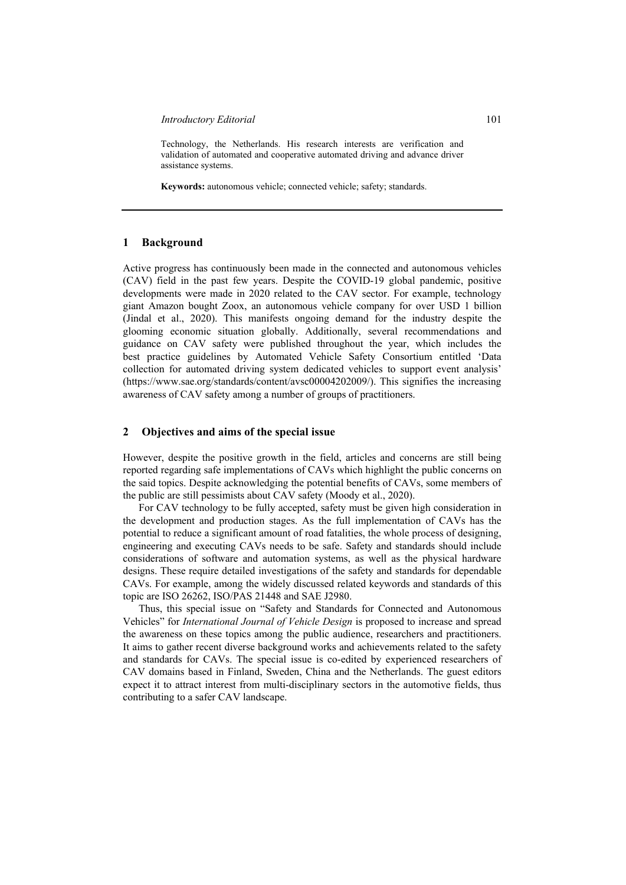Technology, the Netherlands. His research interests are verification and validation of automated and cooperative automated driving and advance driver assistance systems.

**Keywords:** autonomous vehicle; connected vehicle; safety; standards.

#### **1 Background**

Active progress has continuously been made in the connected and autonomous vehicles (CAV) field in the past few years. Despite the COVID-19 global pandemic, positive developments were made in 2020 related to the CAV sector. For example, technology giant Amazon bought Zoox, an autonomous vehicle company for over USD 1 billion (Jindal et al., 2020). This manifests ongoing demand for the industry despite the glooming economic situation globally. Additionally, several recommendations and guidance on CAV safety were published throughout the year, which includes the best practice guidelines by Automated Vehicle Safety Consortium entitled 'Data collection for automated driving system dedicated vehicles to support event analysis' (https://www.sae.org/standards/content/avsc00004202009/). This signifies the increasing awareness of CAV safety among a number of groups of practitioners.

#### **2 Objectives and aims of the special issue**

However, despite the positive growth in the field, articles and concerns are still being reported regarding safe implementations of CAVs which highlight the public concerns on the said topics. Despite acknowledging the potential benefits of CAVs, some members of the public are still pessimists about CAV safety (Moody et al., 2020).

For CAV technology to be fully accepted, safety must be given high consideration in the development and production stages. As the full implementation of CAVs has the potential to reduce a significant amount of road fatalities, the whole process of designing, engineering and executing CAVs needs to be safe. Safety and standards should include considerations of software and automation systems, as well as the physical hardware designs. These require detailed investigations of the safety and standards for dependable CAVs. For example, among the widely discussed related keywords and standards of this topic are ISO 26262, ISO/PAS 21448 and SAE J2980.

Thus, this special issue on "Safety and Standards for Connected and Autonomous Vehicles" for *International Journal of Vehicle Design* is proposed to increase and spread the awareness on these topics among the public audience, researchers and practitioners. It aims to gather recent diverse background works and achievements related to the safety and standards for CAVs. The special issue is co-edited by experienced researchers of CAV domains based in Finland, Sweden, China and the Netherlands. The guest editors expect it to attract interest from multi-disciplinary sectors in the automotive fields, thus contributing to a safer CAV landscape.